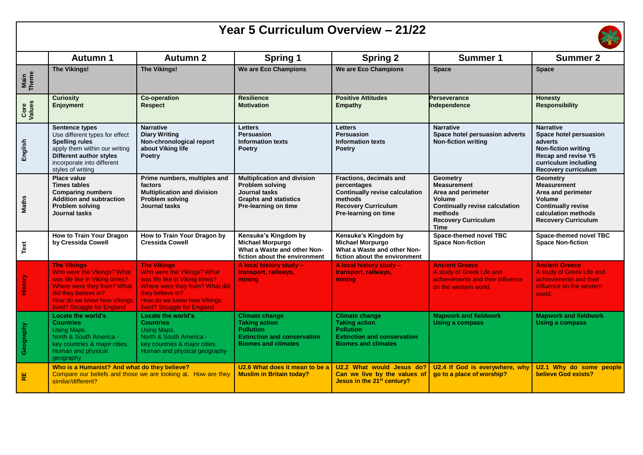| Year 5 Curriculum Overview - 21/22 |                                                                                                                                                                                                        |                                                                                                                                                                                                       |                                                                                                                                       |                                                                                                                                                  |                                                                                                                                                                 |                                                                                                                                                                  |  |  |  |  |
|------------------------------------|--------------------------------------------------------------------------------------------------------------------------------------------------------------------------------------------------------|-------------------------------------------------------------------------------------------------------------------------------------------------------------------------------------------------------|---------------------------------------------------------------------------------------------------------------------------------------|--------------------------------------------------------------------------------------------------------------------------------------------------|-----------------------------------------------------------------------------------------------------------------------------------------------------------------|------------------------------------------------------------------------------------------------------------------------------------------------------------------|--|--|--|--|
|                                    | Autumn 1                                                                                                                                                                                               | <b>Autumn 2</b>                                                                                                                                                                                       | <b>Spring 1</b>                                                                                                                       | <b>Spring 2</b>                                                                                                                                  | Summer 1                                                                                                                                                        | <b>Summer 2</b>                                                                                                                                                  |  |  |  |  |
| Main<br>Theme                      | <b>The Vikings!</b>                                                                                                                                                                                    | <b>The Vikings!</b>                                                                                                                                                                                   | We are Eco Champions                                                                                                                  | We are Eco Champions                                                                                                                             | <b>Space</b>                                                                                                                                                    | <b>Space</b>                                                                                                                                                     |  |  |  |  |
| Core<br>Values                     | <b>Curiosity</b><br>Enjoyment                                                                                                                                                                          | <b>Co-operation</b><br><b>Respect</b>                                                                                                                                                                 | <b>Resilience</b><br><b>Motivation</b>                                                                                                | <b>Positive Attitudes</b><br>Empathy                                                                                                             | <b>Perseverance</b><br>Independence                                                                                                                             | <b>Honesty</b><br><b>Responsibility</b>                                                                                                                          |  |  |  |  |
| English                            | <b>Sentence types</b><br>Use different types for effect<br><b>Spelling rules</b><br>apply them within our writing<br><b>Different author styles</b><br>incorporate into different<br>styles of writing | <b>Narrative</b><br><b>Diary Writing</b><br>Non-chronological report<br>about Viking life<br>Poetry                                                                                                   | <b>Letters</b><br><b>Persuasion</b><br><b>Information texts</b><br><b>Poetry</b>                                                      | <b>Letters</b><br><b>Persuasion</b><br><b>Information texts</b><br><b>Poetry</b>                                                                 | <b>Narrative</b><br>Space hotel persuasion adverts<br><b>Non-fiction writing</b>                                                                                | <b>Narrative</b><br>Space hotel persuasion<br>adverts<br><b>Non-fiction writing</b><br>Recap and revise Y5<br>curriculum including<br><b>Recovery curriculum</b> |  |  |  |  |
| <b>Maths</b>                       | <b>Place value</b><br><b>Times tables</b><br><b>Comparing numbers</b><br><b>Addition and subtraction</b><br>Problem solving<br>Journal tasks                                                           | Prime numbers, multiples and<br>factors<br><b>Multiplication and division</b><br><b>Problem solving</b><br>Journal tasks                                                                              | <b>Multiplication and division</b><br><b>Problem solving</b><br>Journal tasks<br><b>Graphs and statistics</b><br>Pre-learning on time | Fractions, decimals and<br>percentages<br><b>Continually revise calculation</b><br>methods<br><b>Recovery Curriculum</b><br>Pre-learning on time | <b>Geometry</b><br><b>Measurement</b><br>Area and perimeter<br>Volume<br><b>Continually revise calculation</b><br>methods<br><b>Recovery Curriculum</b><br>Time | <b>Geometry</b><br><b>Measurement</b><br>Area and perimeter<br>Volume<br><b>Continually revise</b><br>calculation methods<br><b>Recovery Curriculum</b>          |  |  |  |  |
| Text                               | How to Train Your Dragon<br>by Cressida Cowell                                                                                                                                                         | How to Train Your Dragon by<br><b>Cressida Cowell</b>                                                                                                                                                 | Kensuke's Kingdom by<br><b>Michael Morpurgo</b><br>What a Waste and other Non-<br>fiction about the environment                       | Kensuke's Kingdom by<br><b>Michael Morpurgo</b><br>What a Waste and other Non-<br>fiction about the environment                                  | Space-themed novel TBC<br><b>Space Non-fiction</b>                                                                                                              | Space-themed novel TBC<br><b>Space Non-fiction</b>                                                                                                               |  |  |  |  |
| History                            | <b>The Vikinas</b><br>Who were the Vikings? What<br>was life like in Viking times?<br>Where were they from? What<br>did they believe in?<br>How do we know how Vikings<br>lived? Struggle for England  | <b>The Vikinas</b><br>Who were the Vikings? What<br>was life like in Viking times?<br>Where were they from? What did<br>they believe in?<br>How do we know how Vikings<br>lived? Struggle for England | A local history study -<br>transport, railways,<br>mining                                                                             | A local history study -<br>transport, railways,<br>mining                                                                                        | <b>Ancient Greece</b><br>A study of Greek Life and<br>achievements and their influence<br>on the western world.                                                 | <b>Ancient Greece</b><br>A study of Greek Life and<br>achievements and their<br>influence on the western<br>world.                                               |  |  |  |  |
| Geography                          | Locate the world's<br><b>Countries</b><br>Using Maps.<br>North & South America -<br>key countries & major cities.<br>Human and physical<br>geography                                                   | Locate the world's<br><b>Countries</b><br><b>Using Maps.</b><br>North & South America -<br>key countries & major cities.<br>Human and physical geography                                              | <b>Climate change</b><br><b>Taking action</b><br><b>Pollution</b><br><b>Extinction and conservation</b><br><b>Biomes and climates</b> | <b>Climate change</b><br><b>Taking action</b><br><b>Pollution</b><br><b>Extinction and conservation</b><br><b>Biomes and climates</b>            | <b>Mapwork and fieldwork</b><br><b>Using a compass</b>                                                                                                          | <b>Mapwork and fieldwork</b><br><b>Using a compass</b>                                                                                                           |  |  |  |  |
| RE                                 | Who is a Humanist? And what do they believe?<br>Compare our beliefs and those we are looking at. How are they<br>similar/different?                                                                    |                                                                                                                                                                                                       | U2.6 What does it mean to be a<br><b>Muslim in Britain today?</b>                                                                     | U2.2 What would Jesus do?<br>Can we live by the values of<br>Jesus in the 21 <sup>st</sup> century?                                              | U2.4 If God is everywhere, why<br>go to a place of worship?                                                                                                     | U2.1 Why do some people<br>believe God exists?                                                                                                                   |  |  |  |  |

 $\Gamma$